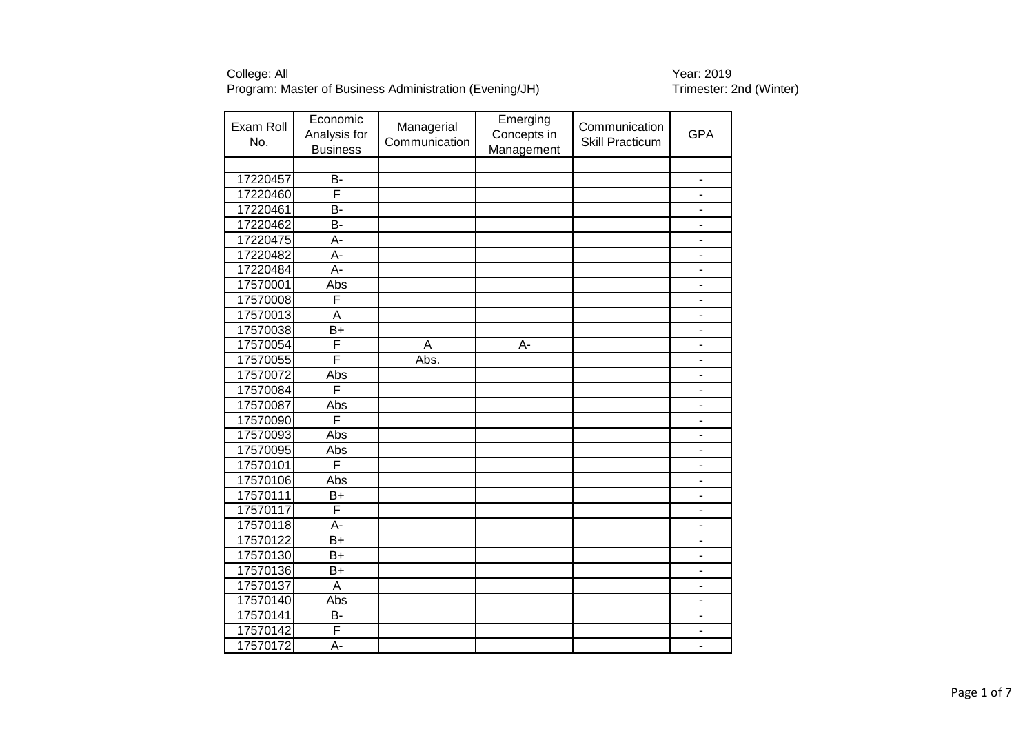| Exam Roll<br>No. | Economic<br>Analysis for<br><b>Business</b> | Managerial<br>Communication | Emerging<br>Concepts in<br>Management | Communication<br><b>Skill Practicum</b> | <b>GPA</b>                   |
|------------------|---------------------------------------------|-----------------------------|---------------------------------------|-----------------------------------------|------------------------------|
|                  |                                             |                             |                                       |                                         |                              |
| 17220457         | <b>B-</b>                                   |                             |                                       |                                         | $\overline{\phantom{a}}$     |
| 17220460         | F                                           |                             |                                       |                                         |                              |
| 17220461         | <b>B-</b>                                   |                             |                                       |                                         |                              |
| 17220462         | B-                                          |                             |                                       |                                         | $\overline{\phantom{a}}$     |
| 17220475         | А-                                          |                             |                                       |                                         | $\overline{\phantom{a}}$     |
| 17220482         | A-                                          |                             |                                       |                                         | $\blacksquare$               |
| 17220484         | $A -$                                       |                             |                                       |                                         | $\overline{\phantom{0}}$     |
| 17570001         | Abs                                         |                             |                                       |                                         | $\blacksquare$               |
| 17570008         | F                                           |                             |                                       |                                         | $\overline{\phantom{a}}$     |
| 17570013         | A                                           |                             |                                       |                                         | $\blacksquare$               |
| 17570038         | $\overline{B+}$                             |                             |                                       |                                         | $\blacksquare$               |
| 17570054         | F                                           | A                           | A-                                    |                                         | L,                           |
| 17570055         | F                                           | Abs.                        |                                       |                                         | ÷,                           |
| 17570072         | Abs                                         |                             |                                       |                                         | $\blacksquare$               |
| 17570084         | F                                           |                             |                                       |                                         | $\blacksquare$               |
| 17570087         | Abs                                         |                             |                                       |                                         | $\overline{\phantom{a}}$     |
| 17570090         | Ē                                           |                             |                                       |                                         | $\blacksquare$               |
| 17570093         | Abs                                         |                             |                                       |                                         | $\overline{\phantom{0}}$     |
| 17570095         | Abs                                         |                             |                                       |                                         |                              |
| 17570101         | F                                           |                             |                                       |                                         |                              |
| 17570106         | Abs                                         |                             |                                       |                                         |                              |
| 17570111         | $B+$                                        |                             |                                       |                                         | $\blacksquare$               |
| 17570117         | F                                           |                             |                                       |                                         |                              |
| 17570118         | A-                                          |                             |                                       |                                         | ÷,                           |
| 17570122         | $B+$                                        |                             |                                       |                                         | $\qquad \qquad \blacksquare$ |
| 17570130         | $B+$                                        |                             |                                       |                                         | $\overline{\phantom{a}}$     |
| 17570136         | $B+$                                        |                             |                                       |                                         | $\blacksquare$               |
| 17570137         | A                                           |                             |                                       |                                         | $\overline{\phantom{a}}$     |
| 17570140         | Abs                                         |                             |                                       |                                         | $\blacksquare$               |
| 17570141         | B-                                          |                             |                                       |                                         | $\overline{a}$               |
| 17570142         | F                                           |                             |                                       |                                         |                              |
| 17570172         | A-                                          |                             |                                       |                                         |                              |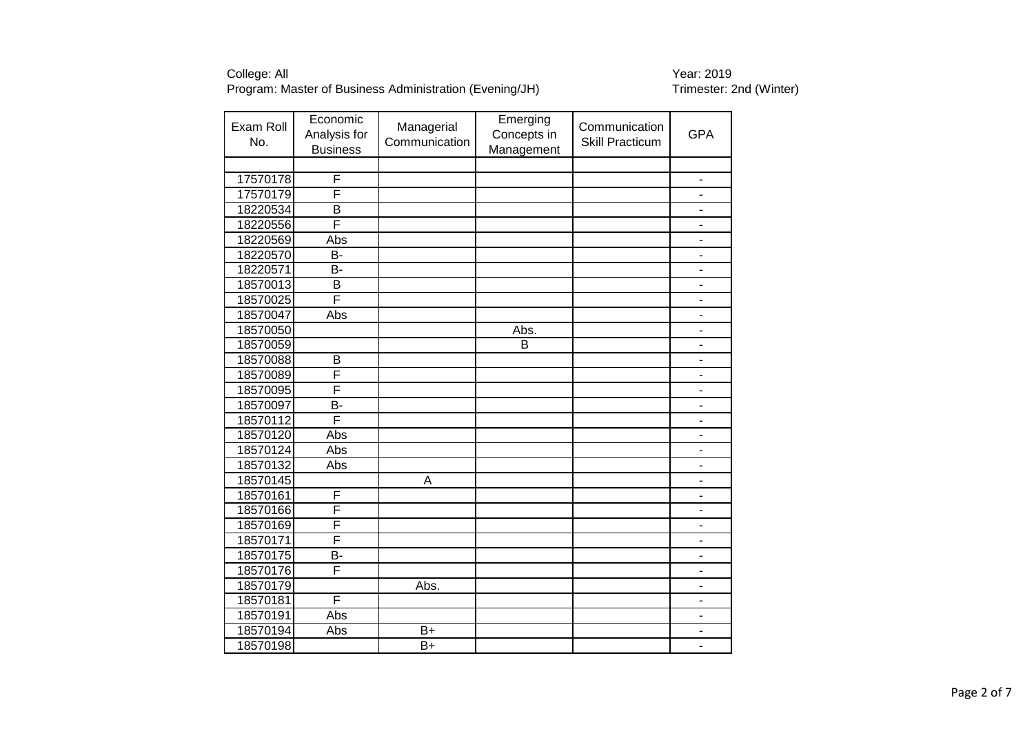| Exam Roll<br>No. | Economic<br>Analysis for<br><b>Business</b> | Managerial<br>Communication | Emerging<br>Concepts in<br>Management | Communication<br><b>Skill Practicum</b> | <b>GPA</b>                   |
|------------------|---------------------------------------------|-----------------------------|---------------------------------------|-----------------------------------------|------------------------------|
|                  |                                             |                             |                                       |                                         |                              |
| 17570178         | F                                           |                             |                                       |                                         |                              |
| 17570179         | F                                           |                             |                                       |                                         |                              |
| 18220534         | B                                           |                             |                                       |                                         | $\qquad \qquad \blacksquare$ |
| 18220556         | F                                           |                             |                                       |                                         | $\overline{\phantom{a}}$     |
| 18220569         | Abs                                         |                             |                                       |                                         | $\blacksquare$               |
| 18220570         | $\overline{B}$                              |                             |                                       |                                         | $\blacksquare$               |
| 18220571         | B-                                          |                             |                                       |                                         |                              |
| 18570013         | B                                           |                             |                                       |                                         |                              |
| 18570025         | F                                           |                             |                                       |                                         | $\blacksquare$               |
| 18570047         | Abs                                         |                             |                                       |                                         | $\blacksquare$               |
| 18570050         |                                             |                             | Abs.                                  |                                         | $\blacksquare$               |
| 18570059         |                                             |                             | B                                     |                                         | ÷,                           |
| 18570088         | B                                           |                             |                                       |                                         | $\blacksquare$               |
| 18570089         | F                                           |                             |                                       |                                         | $\blacksquare$               |
| 18570095         | $\overline{\mathsf{F}}$                     |                             |                                       |                                         | $\qquad \qquad \blacksquare$ |
| 18570097         | B-                                          |                             |                                       |                                         | $\overline{\phantom{a}}$     |
| 18570112         | F                                           |                             |                                       |                                         | $\blacksquare$               |
| 18570120         | Abs                                         |                             |                                       |                                         | $\blacksquare$               |
| 18570124         | Abs                                         |                             |                                       |                                         | ÷,                           |
| 18570132         | Abs                                         |                             |                                       |                                         | $\overline{a}$               |
| 18570145         |                                             | A                           |                                       |                                         |                              |
| 18570161         | F                                           |                             |                                       |                                         |                              |
| 18570166         | F                                           |                             |                                       |                                         | $\overline{\phantom{a}}$     |
| 18570169         | F                                           |                             |                                       |                                         | $\blacksquare$               |
| 18570171         | F                                           |                             |                                       |                                         | ÷,                           |
| 18570175         | $\overline{B}$                              |                             |                                       |                                         | $\qquad \qquad \blacksquare$ |
| 18570176         | F                                           |                             |                                       |                                         | $\qquad \qquad \blacksquare$ |
| 18570179         |                                             | Abs.                        |                                       |                                         | $\overline{\phantom{a}}$     |
| 18570181         | F                                           |                             |                                       |                                         | $\blacksquare$               |
| 18570191         | Abs                                         |                             |                                       |                                         | $\blacksquare$               |
| 18570194         | Abs                                         | $B+$                        |                                       |                                         |                              |
| 18570198         |                                             | $\overline{B+}$             |                                       |                                         |                              |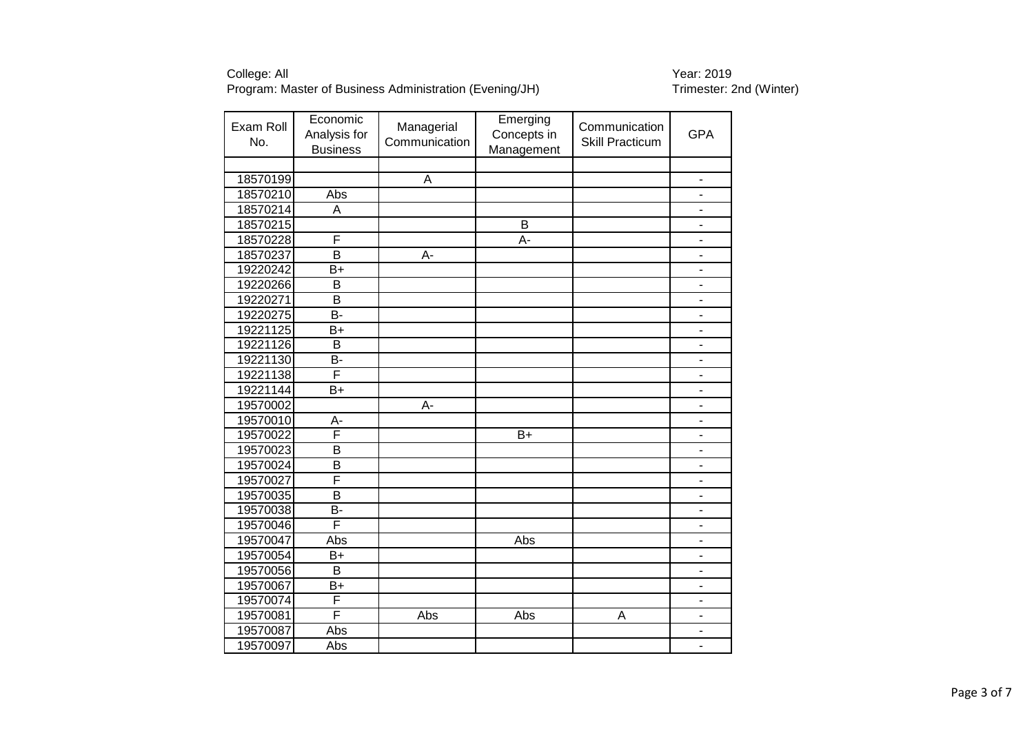| Exam Roll<br>No. | Economic<br>Analysis for<br><b>Business</b> | Managerial<br>Communication | Emerging<br>Concepts in<br>Management | Communication<br><b>Skill Practicum</b> | <b>GPA</b>                   |
|------------------|---------------------------------------------|-----------------------------|---------------------------------------|-----------------------------------------|------------------------------|
|                  |                                             |                             |                                       |                                         |                              |
| 18570199         |                                             | A                           |                                       |                                         |                              |
| 18570210         | Abs                                         |                             |                                       |                                         |                              |
| 18570214         | A                                           |                             |                                       |                                         | $\qquad \qquad \blacksquare$ |
| 18570215         |                                             |                             | B                                     |                                         | $\overline{\phantom{a}}$     |
| 18570228         | F                                           |                             | A-                                    |                                         | $\blacksquare$               |
| 18570237         | B                                           | A-                          |                                       |                                         | $\blacksquare$               |
| 19220242         | $B+$                                        |                             |                                       |                                         | $\overline{\phantom{0}}$     |
| 19220266         | B                                           |                             |                                       |                                         | $\blacksquare$               |
| 19220271         | B                                           |                             |                                       |                                         |                              |
| 19220275         | B-                                          |                             |                                       |                                         | $\blacksquare$               |
| 19221125         | $B+$                                        |                             |                                       |                                         | $\blacksquare$               |
| 19221126         | B                                           |                             |                                       |                                         | ÷,                           |
| 19221130         | <b>B-</b>                                   |                             |                                       |                                         | $\blacksquare$               |
| 19221138         | F                                           |                             |                                       |                                         | $\overline{\phantom{0}}$     |
| 19221144         | B+                                          |                             |                                       |                                         | $\qquad \qquad \blacksquare$ |
| 19570002         |                                             | A-                          |                                       |                                         | $\overline{\phantom{a}}$     |
| 19570010         | A-                                          |                             |                                       |                                         | $\overline{\phantom{a}}$     |
| 19570022         | F                                           |                             | $B+$                                  |                                         | $\overline{\phantom{0}}$     |
| 19570023         | B                                           |                             |                                       |                                         |                              |
| 19570024         | $\overline{\mathsf{B}}$                     |                             |                                       |                                         |                              |
| 19570027         | F                                           |                             |                                       |                                         |                              |
| 19570035         | B                                           |                             |                                       |                                         | $\overline{\phantom{a}}$     |
| 19570038         | B-                                          |                             |                                       |                                         |                              |
| 19570046         | F                                           |                             |                                       |                                         |                              |
| 19570047         | Abs                                         |                             | Abs                                   |                                         |                              |
| 19570054         | B+                                          |                             |                                       |                                         | $\blacksquare$               |
| 19570056         | B                                           |                             |                                       |                                         | $\blacksquare$               |
| 19570067         | $B+$                                        |                             |                                       |                                         | $\overline{\phantom{a}}$     |
| 19570074         | F                                           |                             |                                       |                                         | $\blacksquare$               |
| 19570081         | F                                           | Abs                         | Abs                                   | A                                       | ä,                           |
| 19570087         | Abs                                         |                             |                                       |                                         | $\blacksquare$               |
| 19570097         | Abs                                         |                             |                                       |                                         |                              |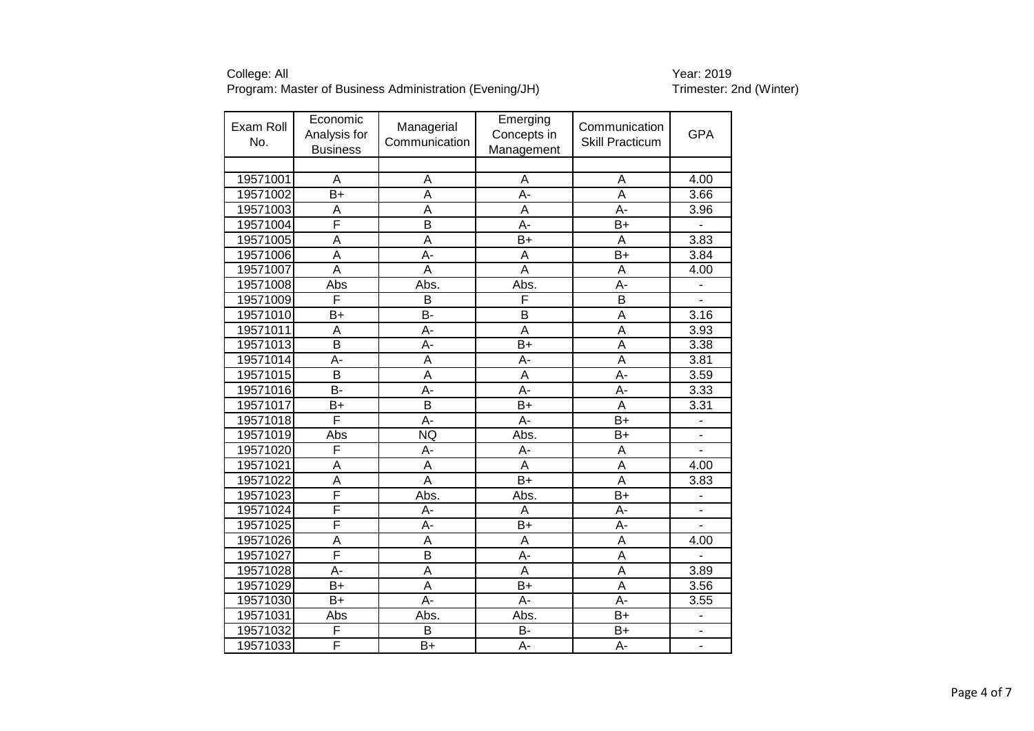| Exam Roll<br>No. | Economic<br>Analysis for<br><b>Business</b> | Managerial<br>Communication | Emerging<br>Concepts in<br>Management | Communication<br><b>Skill Practicum</b> | <b>GPA</b>     |
|------------------|---------------------------------------------|-----------------------------|---------------------------------------|-----------------------------------------|----------------|
|                  |                                             |                             |                                       |                                         |                |
| 19571001         | A                                           | A                           | A                                     | A                                       | 4.00           |
| 19571002         | $B+$                                        | Α                           | A-                                    | Α                                       | 3.66           |
| 19571003         | A                                           | A                           | A                                     | A-                                      | 3.96           |
| 19571004         | F                                           | B                           | A-                                    | $B+$                                    |                |
| 19571005         | A                                           | A                           | $B+$                                  | Α                                       | 3.83           |
| 19571006         | $\overline{\mathsf{A}}$                     | $\overline{A}$ -            | A                                     | $B+$                                    | 3.84           |
| 19571007         | Ā                                           | $\overline{A}$              | $\overline{A}$                        | $\overline{\mathsf{A}}$                 | 4.00           |
| 19571008         | Abs                                         | Abs.                        | Abs.                                  | A-                                      |                |
| 19571009         | F                                           | B                           | F                                     | $\overline{\mathsf{B}}$                 |                |
| 19571010         | $B+$                                        | B-                          | B                                     | Α                                       | 3.16           |
| 19571011         | A                                           | $\overline{A}$ -            | Ā                                     | A                                       | 3.93           |
| 19571013         | B                                           | A-                          | $B+$                                  | A                                       | 3.38           |
| 19571014         | A-                                          | Α                           | A-                                    | Α                                       | 3.81           |
| 19571015         | $\overline{\mathsf{B}}$                     | A                           | A                                     | A-                                      | 3.59           |
| 19571016         | $\overline{B}$                              | $\overline{A}$ -            | $\overline{A}$ -                      | $\overline{A}$                          | 3.33           |
| 19571017         | $B+$                                        | B                           | $B+$                                  | A                                       | 3.31           |
| 19571018         | F                                           | A-                          | А-                                    | $B+$                                    |                |
| 19571019         | Abs                                         | NQ                          | Abs.                                  | $B+$                                    |                |
| 19571020         | F                                           | A-                          | A-                                    | A                                       |                |
| 19571021         | Α                                           | Α                           | A                                     | Α                                       | 4.00           |
| 19571022         | Ā                                           | $\overline{\mathsf{A}}$     | $\overline{B+}$                       | $\overline{\mathsf{A}}$                 | 3.83           |
| 19571023         | F                                           | Abs.                        | Abs.                                  | $\overline{B+}$                         |                |
| 19571024         | F                                           | A-                          | A                                     | A-                                      |                |
| 19571025         | F                                           | A-                          | B+                                    | A-                                      |                |
| 19571026         | A                                           | A                           | A                                     | A                                       | 4.00           |
| 19571027         | F                                           | B                           | A-                                    | A                                       |                |
| 19571028         | A-                                          | A                           | A                                     | A                                       | 3.89           |
| 19571029         | $B+$                                        | A                           | $B+$                                  | A                                       | 3.56           |
| 19571030         | $B+$                                        | $A -$                       | $\overline{A}$ -                      | $\overline{A}$                          | 3.55           |
| 19571031         | Abs                                         | Abs.                        | Abs.                                  | B+                                      |                |
| 19571032         | F                                           | B                           | B-                                    | $B+$                                    |                |
| 19571033         | F                                           | $\overline{B+}$             | $A -$                                 | $\overline{A}$ -                        | $\overline{a}$ |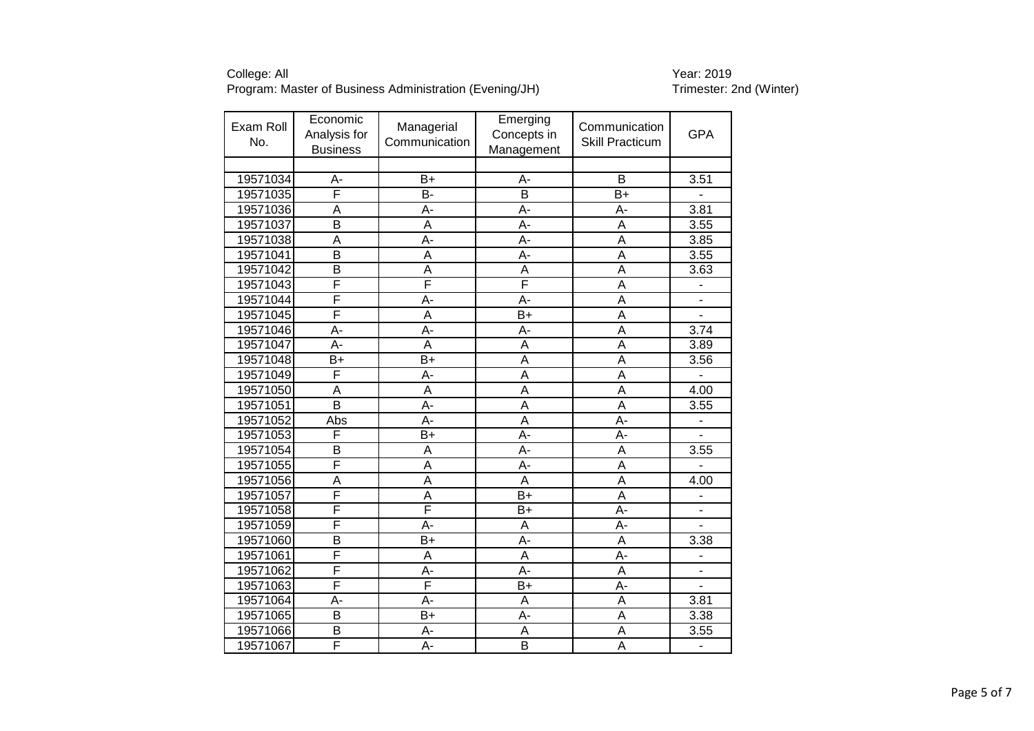| Exam Roll<br>No. | Economic<br>Analysis for<br><b>Business</b> | Managerial<br>Communication | Emerging<br>Concepts in<br>Management | Communication<br><b>Skill Practicum</b> | <b>GPA</b>               |
|------------------|---------------------------------------------|-----------------------------|---------------------------------------|-----------------------------------------|--------------------------|
|                  |                                             |                             |                                       |                                         |                          |
| 19571034         | A-                                          | $B+$                        | А-                                    | B                                       | 3.51                     |
| 19571035         | F                                           | B-                          | B                                     | $B+$                                    |                          |
| 19571036         | A                                           | A-                          | A-                                    | А-                                      | 3.81                     |
| 19571037         | $\overline{\mathsf{B}}$                     | A                           | A-                                    | A                                       | 3.55                     |
| 19571038         | A                                           | A-                          | $\overline{A}$ -                      | A                                       | 3.85                     |
| 19571041         | $\overline{\mathsf{B}}$                     | A                           | A-                                    | $\overline{\mathsf{A}}$                 | 3.55                     |
| 19571042         | B                                           | A                           | A                                     | A                                       | 3.63                     |
| 19571043         | F                                           | F                           | F                                     | $\overline{\mathsf{A}}$                 |                          |
| 19571044         | F                                           | A-                          | A-                                    | A                                       |                          |
| 19571045         | F                                           | $\overline{\mathsf{A}}$     | $\overline{B+}$                       | $\overline{\mathsf{A}}$                 |                          |
| 19571046         | A-                                          | A-                          | A-                                    | A                                       | 3.74                     |
| 19571047         | A-                                          | A                           | A                                     | A                                       | 3.89                     |
| 19571048         | $B+$                                        | $\overline{B+}$             | $\overline{\mathsf{A}}$               | $\overline{\mathsf{A}}$                 | 3.56                     |
| 19571049         | F                                           | A-                          | $\overline{A}$                        | $\overline{\mathsf{A}}$                 |                          |
| 19571050         | A                                           | A                           | A                                     | A                                       | 4.00                     |
| 19571051         | B                                           | A-                          | A                                     | A                                       | 3.55                     |
| 19571052         | Abs                                         | A-                          | A                                     | A-                                      |                          |
| 19571053         | F                                           | $\overline{B+}$             | A-                                    | A-                                      |                          |
| 19571054         | B                                           | A                           | A-                                    | A                                       | 3.55                     |
| 19571055         | F                                           | A                           | A-                                    | A                                       |                          |
| 19571056         | Ā                                           | $\overline{A}$              | $\overline{A}$                        | $\overline{\mathsf{A}}$                 | 4.00                     |
| 19571057         | F                                           | A                           | $\overline{B+}$                       | A                                       |                          |
| 19571058         | F                                           | F                           | $\overline{B+}$                       | A-                                      |                          |
| 19571059         | F                                           | $\overline{A}$              | A                                     | A-                                      | $\overline{\phantom{0}}$ |
| 19571060         | B                                           | B+                          | A-                                    | A                                       | 3.38                     |
| 19571061         | F                                           | A                           | A                                     | A-                                      |                          |
| 19571062         | F                                           | A-                          | $\overline{A}$ -                      | $\overline{A}$                          | $\overline{a}$           |
| 19571063         | F                                           | F                           | B+                                    | A-                                      | L.                       |
| 19571064         | A-                                          | $\overline{A}$ -            | A                                     | $\overline{\mathsf{A}}$                 | 3.81                     |
| 19571065         | B                                           | $B+$                        | A-                                    | $\overline{\mathsf{A}}$                 | 3.38                     |
| 19571066         | B                                           | A-                          | A                                     | A                                       | 3.55                     |
| 19571067         | F                                           | $A -$                       | $\overline{\mathsf{B}}$               | $\overline{\mathsf{A}}$                 | $\overline{\phantom{a}}$ |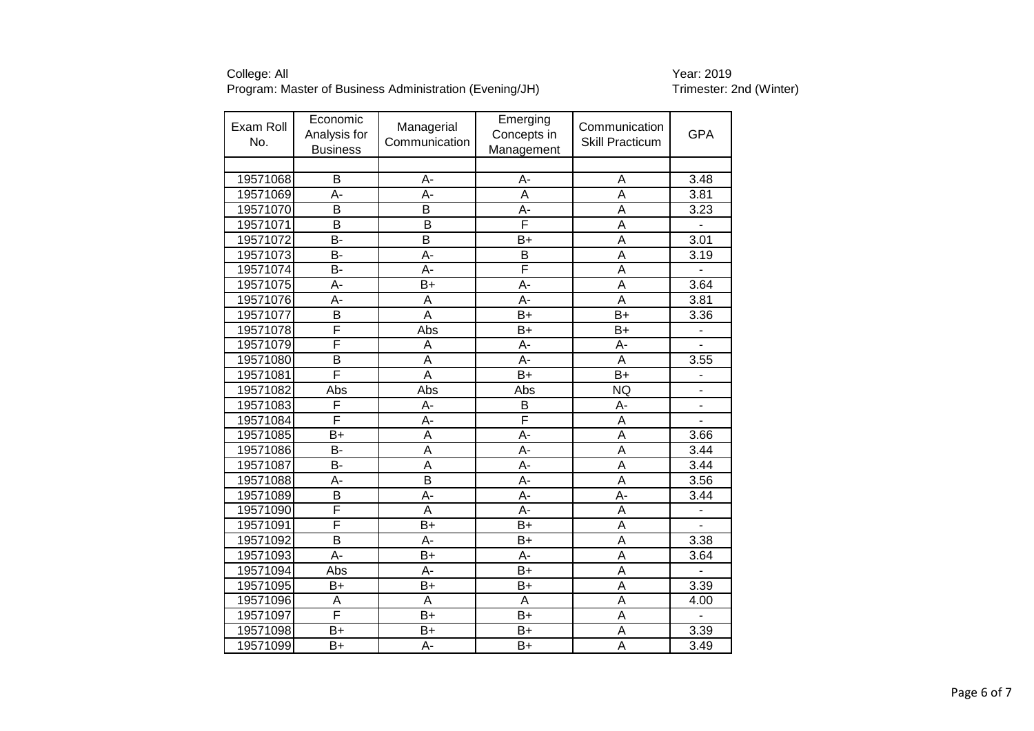| Exam Roll<br>No. | Economic<br>Analysis for<br><b>Business</b> | Managerial<br>Communication | Emerging<br>Concepts in<br>Management | Communication<br><b>Skill Practicum</b> | <b>GPA</b>               |
|------------------|---------------------------------------------|-----------------------------|---------------------------------------|-----------------------------------------|--------------------------|
|                  |                                             |                             |                                       |                                         |                          |
| 19571068         | B                                           | A-                          | А-                                    | A                                       | 3.48                     |
| 19571069         | A-                                          | A-                          | A                                     | A                                       | 3.81                     |
| 19571070         | B                                           | B                           | A-                                    | A                                       | 3.23                     |
| 19571071         | B                                           | B                           | F                                     | A                                       |                          |
| 19571072         | B-                                          | B                           | $B+$                                  | A                                       | 3.01                     |
| 19571073         | B-                                          | A-                          | $\overline{B}$                        | A                                       | $3.\overline{19}$        |
| 19571074         | B-                                          | A-                          | F                                     | A                                       | $\overline{a}$           |
| 19571075         | A-                                          | $B+$                        | A-                                    | A                                       | 3.64                     |
| 19571076         | A-                                          | A                           | A-                                    | A                                       | 3.81                     |
| 19571077         | $\overline{\mathsf{B}}$                     | $\overline{\mathsf{A}}$     | $B+$                                  | $\overline{B+}$                         | 3.36                     |
| 19571078         | $\overline{\mathsf{F}}$                     | Abs                         | $B+$                                  | $B+$                                    |                          |
| 19571079         | F                                           | Α                           | A-                                    | A-                                      |                          |
| 19571080         | $\overline{\mathsf{B}}$                     | A                           | A-                                    | A                                       | 3.55                     |
| 19571081         | F                                           | A                           | $B+$                                  | $B+$                                    |                          |
| 19571082         | Abs                                         | Abs                         | Abs                                   | <b>NQ</b>                               | $\blacksquare$           |
| 19571083         | F                                           | A-                          | B                                     | A-                                      | $\overline{\phantom{a}}$ |
| 19571084         | F                                           | A-                          | F                                     | A                                       |                          |
| 19571085         | $B+$                                        | A                           | A-                                    | A                                       | 3.66                     |
| 19571086         | B-                                          | A                           | A-                                    | A                                       | 3.44                     |
| 19571087         | B-                                          | A                           | A-                                    | A                                       | 3.44                     |
| 19571088         | A-                                          | $\overline{\mathsf{B}}$     | $\overline{A}$ -                      | $\overline{\mathsf{A}}$                 | 3.56                     |
| 19571089         | B                                           | A-                          | A-                                    | A-                                      | 3.44                     |
| 19571090         | F                                           | A                           | A-                                    | A                                       |                          |
| 19571091         | F                                           | $B+$                        | $B+$                                  | $\overline{A}$                          |                          |
| 19571092         | B                                           | A-                          | B+                                    | A                                       | 3.38                     |
| 19571093         | A-                                          | $B+$                        | A-                                    | A                                       | 3.64                     |
| 19571094         | Abs                                         | А-                          | $B+$                                  | A                                       |                          |
| 19571095         | $B+$                                        | $B+$                        | $B+$                                  | A                                       | 3.39                     |
| 19571096         | A                                           | A                           | A                                     | $\overline{A}$                          | 4.00                     |
| 19571097         | F                                           | $B+$                        | $B+$                                  | A                                       |                          |
| 19571098         | $B+$                                        | $B+$                        | $B+$                                  | A                                       | 3.39                     |
| 19571099         | $B+$                                        | $\overline{A}$ -            | $\overline{B+}$                       | $\overline{\mathsf{A}}$                 | 3.49                     |